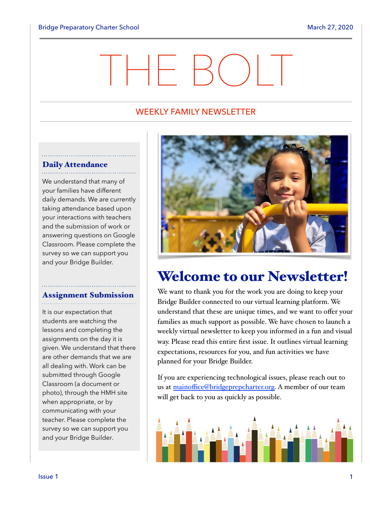# THE BOLT

#### WEEKLY FAMILY NEWSLETTER

## Daily Attendance

We understand that many of your families have different daily demands. We are currently taking attendance based upon your interactions with teachers and the submission of work or answering questions on Google Classroom. Please complete the survey so we can support you and your Bridge Builder.

## Assignment Submission

It is our expectation that students are watching the lessons and completing the assignments on the day it is given. We understand that there are other demands that we are all dealing with. Work can be submitted through Google Classroom (a document or photo), through the HMH site when appropriate, or by communicating with your teacher. Please complete the survey so we can support you and your Bridge Builder.



## Welcome to our Newsletter!

We want to thank you for the work you are doing to keep your Bridge Builder connected to our virtual learning platform. We understand that these are unique times, and we want to offer your families as much support as possible. We have chosen to launch a weekly virtual newsletter to keep you informed in a fun and visual way. Please read this entire first issue. It outlines virtual learning expectations, resources for you, and fun activities we have planned for your Bridge Builder.

If you are experiencing technological issues, please reach out to us at mainoffi[ce@bridgeprepcharter.org.](mailto:mainoffice@bridgeprepcharter.org) A member of our team will get back to you as quickly as possible.